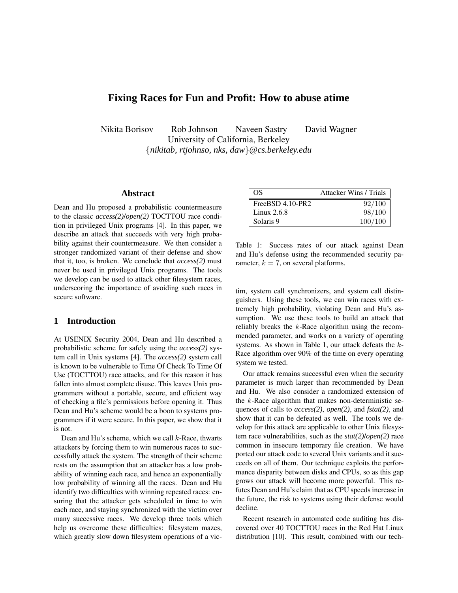# **Fixing Races for Fun and Profit: How to abuse atime**

Nikita Borisov Rob Johnson Naveen Sastry David Wagner University of California, Berkeley {*nikitab, rtjohnso, nks, daw*}*@cs.berkeley.edu*

## **Abstract**

Dean and Hu proposed a probabilistic countermeasure to the classic *access(2)*/*open(2)* TOCTTOU race condition in privileged Unix programs [4]. In this paper, we describe an attack that succeeds with very high probability against their countermeasure. We then consider a stronger randomized variant of their defense and show that it, too, is broken. We conclude that *access(2)* must never be used in privileged Unix programs. The tools we develop can be used to attack other filesystem races, underscoring the importance of avoiding such races in secure software.

## **1 Introduction**

At USENIX Security 2004, Dean and Hu described a probabilistic scheme for safely using the *access(2)* system call in Unix systems [4]. The *access(2)* system call is known to be vulnerable to Time Of Check To Time Of Use (TOCTTOU) race attacks, and for this reason it has fallen into almost complete disuse. This leaves Unix programmers without a portable, secure, and efficient way of checking a file's permissions before opening it. Thus Dean and Hu's scheme would be a boon to systems programmers if it were secure. In this paper, we show that it is not.

Dean and Hu's scheme, which we call  $k$ -Race, thwarts attackers by forcing them to win numerous races to successfully attack the system. The strength of their scheme rests on the assumption that an attacker has a low probability of winning each race, and hence an exponentially low probability of winning all the races. Dean and Hu identify two difficulties with winning repeated races: ensuring that the attacker gets scheduled in time to win each race, and staying synchronized with the victim over many successive races. We develop three tools which help us overcome these difficulties: filesystem mazes, which greatly slow down filesystem operations of a vic-

| - OS               | <b>Attacker Wins / Trials</b> |
|--------------------|-------------------------------|
| $FreeBSD 4.10-PR2$ | 92/100                        |
| Linux $2.6.8$      | 98/100                        |
| Solaris 9          | 100/100                       |

Table 1: Success rates of our attack against Dean and Hu's defense using the recommended security parameter,  $k = 7$ , on several platforms.

tim, system call synchronizers, and system call distinguishers. Using these tools, we can win races with extremely high probability, violating Dean and Hu's assumption. We use these tools to build an attack that reliably breaks the  $k$ -Race algorithm using the recommended parameter, and works on a variety of operating systems. As shown in Table 1, our attack defeats the k-Race algorithm over 90% of the time on every operating system we tested.

Our attack remains successful even when the security parameter is much larger than recommended by Dean and Hu. We also consider a randomized extension of the  $k$ -Race algorithm that makes non-deterministic sequences of calls to *access(2)*, *open(2)*, and *fstat(2)*, and show that it can be defeated as well. The tools we develop for this attack are applicable to other Unix filesystem race vulnerabilities, such as the *stat(2)*/*open(2)* race common in insecure temporary file creation. We have ported our attack code to several Unix variants and it succeeds on all of them. Our technique exploits the performance disparity between disks and CPUs, so as this gap grows our attack will become more powerful. This refutes Dean and Hu's claim that as CPU speeds increase in the future, the risk to systems using their defense would decline.

Recent research in automated code auditing has discovered over 40 TOCTTOU races in the Red Hat Linux distribution [10]. This result, combined with our tech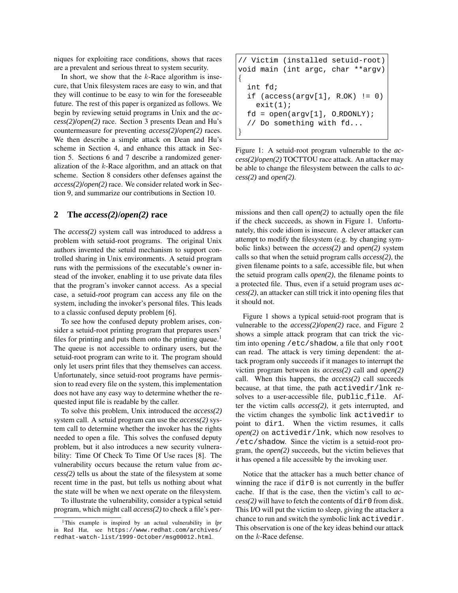niques for exploiting race conditions, shows that races are a prevalent and serious threat to system security.

In short, we show that the  $k$ -Race algorithm is insecure, that Unix filesystem races are easy to win, and that they will continue to be easy to win for the foreseeable future. The rest of this paper is organized as follows. We begin by reviewing setuid programs in Unix and the *access(2)*/*open(2)* race. Section 3 presents Dean and Hu's countermeasure for preventing *access(2)*/*open(2)* races. We then describe a simple attack on Dean and Hu's scheme in Section 4, and enhance this attack in Section 5. Sections 6 and 7 describe a randomized generalization of the k-Race algorithm, and an attack on that scheme. Section 8 considers other defenses against the *access(2)*/*open(2)* race. We consider related work in Section 9, and summarize our contributions in Section 10.

#### **2 The** *access(2)***/***open(2)* **race**

The *access(2)* system call was introduced to address a problem with setuid-root programs. The original Unix authors invented the setuid mechanism to support controlled sharing in Unix environments. A setuid program runs with the permissions of the executable's owner instead of the invoker, enabling it to use private data files that the program's invoker cannot access. As a special case, a setuid-*root* program can access any file on the system, including the invoker's personal files. This leads to a classic confused deputy problem [6].

To see how the confused deputy problem arises, consider a setuid-root printing program that prepares users' files for printing and puts them onto the printing queue.<sup>1</sup> The queue is not accessible to ordinary users, but the setuid-root program can write to it. The program should only let users print files that they themselves can access. Unfortunately, since setuid-root programs have permission to read every file on the system, this implementation does not have any easy way to determine whether the requested input file is readable by the caller.

To solve this problem, Unix introduced the *access(2)* system call. A setuid program can use the *access(2)* system call to determine whether the invoker has the rights needed to open a file. This solves the confused deputy problem, but it also introduces a new security vulnerability: Time Of Check To Time Of Use races [8]. The vulnerability occurs because the return value from *access(2)* tells us about the state of the filesystem at some recent time in the past, but tells us nothing about what the state will be when we next operate on the filesystem.

To illustrate the vulnerability, consider a typical setuid program, which might call *access(2)* to check a file's per-

```
// Victim (installed setuid-root)
void main (int argc, char **argv)
{
  int fd;
  if (\arccos(\arccos[1], R_0K) := 0)exit(1);fd = open(argv[1], O_RDOMLY);// Do something with fd...
}
```
Figure 1: A setuid-root program vulnerable to the *access(2)*/*open(2)* TOCTTOU race attack. An attacker may be able to change the filesystem between the calls to *access(2)* and *open(2)*.

missions and then call *open(2)* to actually open the file if the check succeeds, as shown in Figure 1. Unfortunately, this code idiom is insecure. A clever attacker can attempt to modify the filesystem (e.g. by changing symbolic links) between the *access(2)* and *open(2)* system calls so that when the setuid program calls *access(2)*, the given filename points to a safe, accessible file, but when the setuid program calls *open(2)*, the filename points to a protected file. Thus, even if a setuid program uses *access(2)*, an attacker can still trick it into opening files that it should not.

Figure 1 shows a typical setuid-root program that is vulnerable to the *access(2)*/*open(2)* race, and Figure 2 shows a simple attack program that can trick the victim into opening /etc/shadow, a file that only root can read. The attack is very timing dependent: the attack program only succeeds if it manages to interrupt the victim program between its *access(2)* call and *open(2)* call. When this happens, the *access(2)* call succeeds because, at that time, the path activedir/lnk resolves to a user-accessible file, public file. After the victim calls *access(2)*, it gets interrupted, and the victim changes the symbolic link activedir to point to dir1. When the victim resumes, it calls *open(2)* on activedir/lnk, which now resolves to /etc/shadow. Since the victim is a setuid-root program, the *open(2)* succeeds, but the victim believes that it has opened a file accessible by the invoking user.

Notice that the attacker has a much better chance of winning the race if  $dir0$  is not currently in the buffer cache. If that is the case, then the victim's call to *ac* $cess(2)$  will have to fetch the contents of  $dir0$  from disk. This I/O will put the victim to sleep, giving the attacker a chance to run and switch the symbolic link activedir. This observation is one of the key ideas behind our attack on the k-Race defense.

<sup>1</sup>This example is inspired by an actual vulnerability in *lpr* in Red Hat, see https://www.redhat.com/archives/ redhat-watch-list/1999-October/msg00012.html.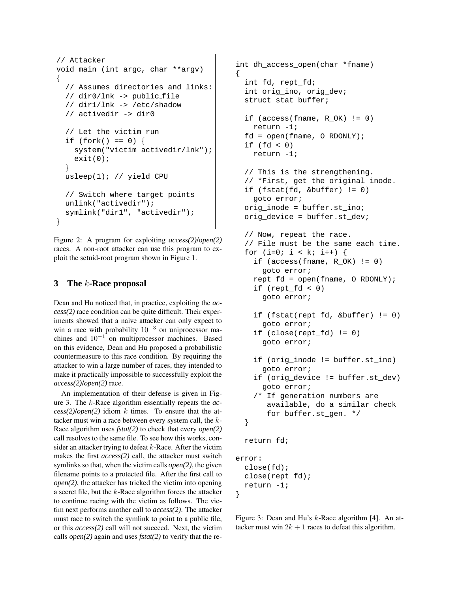```
// Attacker
void main (int argc, char **argv)
{
  // Assumes directories and links:
  // dir0/lnk -> public file
  // dir1/lnk -> /etc/shadow
  // activedir -> dir0
  // Let the victim run
  if (fork() == 0) {
    system("victim activedir/lnk");
    exit(0);}
 usleep(1); // yield CPU
  // Switch where target points
 unlink("activedir");
  symlink("dir1", "activedir");
}
```
Figure 2: A program for exploiting *access(2)*/*open(2)* races. A non-root attacker can use this program to exploit the setuid-root program shown in Figure 1.

# **3 The** k**-Race proposal**

Dean and Hu noticed that, in practice, exploiting the *access(2)* race condition can be quite difficult. Their experiments showed that a naive attacker can only expect to win a race with probability  $10^{-3}$  on uniprocessor machines and  $10^{-1}$  on multiprocessor machines. Based on this evidence, Dean and Hu proposed a probabilistic countermeasure to this race condition. By requiring the attacker to win a large number of races, they intended to make it practically impossible to successfully exploit the *access(2)*/*open(2)* race.

An implementation of their defense is given in Figure 3. The k-Race algorithm essentially repeats the *ac* $cess(2)$ /*open*(2) idiom k times. To ensure that the attacker must win a race between every system call, the k-Race algorithm uses *fstat(2)* to check that every *open(2)* call resolves to the same file. To see how this works, consider an attacker trying to defeat  $k$ -Race. After the victim makes the first *access(2)* call, the attacker must switch symlinks so that, when the victim calls *open(2)*, the given filename points to a protected file. After the first call to *open(2)*, the attacker has tricked the victim into opening a secret file, but the k-Race algorithm forces the attacker to continue racing with the victim as follows. The victim next performs another call to *access(2)*. The attacker must race to switch the symlink to point to a public file, or this *access(2)* call will not succeed. Next, the victim calls *open(2)* again and uses *fstat(2)* to verify that the re-

```
int dh_access_open(char *fname)
{
  int fd, rept_fd;
  int orig_ino, orig_dev;
  struct stat buffer;
  if (\arccos(fname, R_OK) != 0)return -1;
  fd = open(fname, O_RDONLY);
  if (fd < 0)return -1;
  // This is the strengthening.
  // *First, get the original inode.
  if (fstat(fd, &buffer) != 0)
    goto error;
  orig_inode = buffer.st_ino;
  orig_device = buffer.st_dev;
  // Now, repeat the race.
  // File must be the same each time.
  for (i=0; i < k; i++) {
    if (\arccos(fname, R_OK) != 0)goto error;
    rept_fd = open(fname, O_RDONLY);
    if (rept_fd < 0)
      goto error;
    if (fstat(rept_fd, &buffer) != 0)
      goto error;
    if (close(rept_fd) != 0)
      goto error;
    if (orig_inode != buffer.st_ino)
      goto error;
    if (orig_device != buffer.st_dev)
      goto error;
    /* If generation numbers are
       available, do a similar check
       for buffer.st_gen. */
  }
 return fd;
error:
 close(fd);
  close(rept_fd);
  return -1;
}
```
Figure 3: Dean and Hu's k-Race algorithm [4]. An attacker must win  $2k + 1$  races to defeat this algorithm.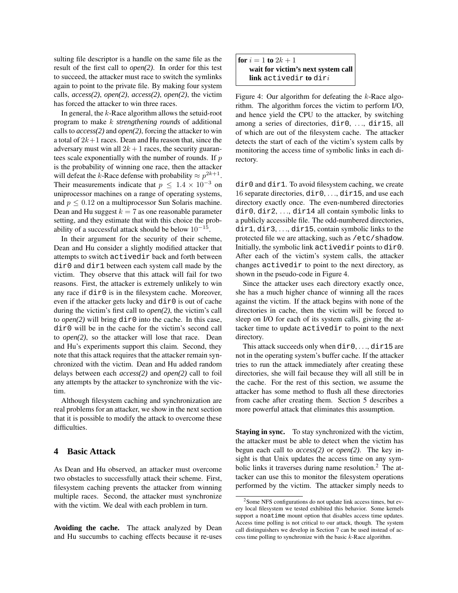sulting file descriptor is a handle on the same file as the result of the first call to *open(2)*. In order for this test to succeed, the attacker must race to switch the symlinks again to point to the private file. By making four system calls, *access(2)*, *open(2)*, *access(2)*, *open(2)*, the victim has forced the attacker to win three races.

In general, the k-Race algorithm allows the setuid-root program to make k *strengthening rounds* of additional calls to *access(2)* and *open(2)*, forcing the attacker to win a total of  $2k+1$  races. Dean and Hu reason that, since the adversary must win all  $2k + 1$  races, the security guarantees scale exponentially with the number of rounds. If p is the probability of winning one race, then the attacker will defeat the k-Race defense with probability  $\approx p^{2k+1}$ . Their measurements indicate that  $p \leq 1.4 \times 10^{-3}$  on uniprocessor machines on a range of operating systems, and  $p \leq 0.12$  on a multiprocessor Sun Solaris machine. Dean and Hu suggest  $k = 7$  as one reasonable parameter setting, and they estimate that with this choice the probability of a successful attack should be below  $10^{-15}$ .

In their argument for the security of their scheme, Dean and Hu consider a slightly modified attacker that attempts to switch activedir back and forth between dir0 and dir1 between each system call made by the victim. They observe that this attack will fail for two reasons. First, the attacker is extremely unlikely to win any race if dir0 is in the filesystem cache. Moreover, even if the attacker gets lucky and dir0 is out of cache during the victim's first call to *open(2)*, the victim's call to *open(2)* will bring dir0 into the cache. In this case, dir0 will be in the cache for the victim's second call to *open(2)*, so the attacker will lose that race. Dean and Hu's experiments support this claim. Second, they note that this attack requires that the attacker remain synchronized with the victim. Dean and Hu added random delays between each *access(2)* and *open(2)* call to foil any attempts by the attacker to synchronize with the victim.

Although filesystem caching and synchronization are real problems for an attacker, we show in the next section that it is possible to modify the attack to overcome these difficulties.

### **4 Basic Attack**

As Dean and Hu observed, an attacker must overcome two obstacles to successfully attack their scheme. First, filesystem caching prevents the attacker from winning multiple races. Second, the attacker must synchronize with the victim. We deal with each problem in turn.

**Avoiding the cache.** The attack analyzed by Dean and Hu succumbs to caching effects because it re-uses **for**  $i = 1$  **to**  $2k + 1$ **wait for victim's next system call link** activedir **to** diri

Figure 4: Our algorithm for defeating the k-Race algorithm. The algorithm forces the victim to perform I/O, and hence yield the CPU to the attacker, by switching among a series of directories, dir0, ..., dir15, all of which are out of the filesystem cache. The attacker detects the start of each of the victim's system calls by monitoring the access time of symbolic links in each directory.

dir0 and dir1. To avoid filesystem caching, we create 16 separate directories, dir0, . . ., dir15, and use each directory exactly once. The even-numbered directories dir0, dir2, . . ., dir14 all contain symbolic links to a publicly accessible file. The odd-numbered directories, dir1, dir3, ..., dir15, contain symbolic links to the protected file we are attacking, such as /etc/shadow. Initially, the symbolic link activedir points to dir0. After each of the victim's system calls, the attacker changes activedir to point to the next directory, as shown in the pseudo-code in Figure 4.

Since the attacker uses each directory exactly once, she has a much higher chance of winning all the races against the victim. If the attack begins with none of the directories in cache, then the victim will be forced to sleep on I/O for each of its system calls, giving the attacker time to update activedir to point to the next directory.

This attack succeeds only when  $dir0, \ldots, dir15$  are not in the operating system's buffer cache. If the attacker tries to run the attack immediately after creating these directories, she will fail because they will all still be in the cache. For the rest of this section, we assume the attacker has some method to flush all these directories from cache after creating them. Section 5 describes a more powerful attack that eliminates this assumption.

**Staying in sync.** To stay synchronized with the victim, the attacker must be able to detect when the victim has begun each call to *access(2)* or *open(2)*. The key insight is that Unix updates the access time on any symbolic links it traverses during name resolution.<sup>2</sup> The attacker can use this to monitor the filesystem operations performed by the victim. The attacker simply needs to

<sup>2</sup>Some NFS configurations do not update link access times, but every local filesystem we tested exhibited this behavior. Some kernels support a noatime mount option that disables access time updates. Access time polling is not critical to our attack, though. The system call distinguishers we develop in Section 7 can be used instead of access time polling to synchronize with the basic k-Race algorithm.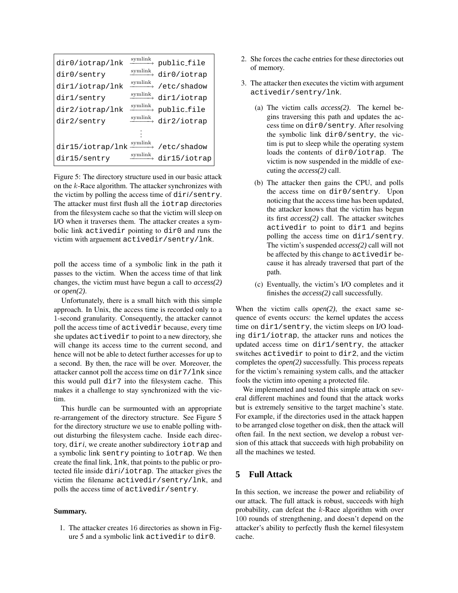| dir0/iotrap/lnk  | symlink | public_file                                       |
|------------------|---------|---------------------------------------------------|
| dir0/sentry      |         | $\xrightarrow{\text{symlink}}$ dir0/iotrap        |
| dir1/iotrap/lnk  | symlink | /etc/shadow                                       |
| dir1/sentry      |         | $\xrightarrow{\text{symlink}} \text{dir1/iotrap}$ |
| dir2/iotrap/lnk  | symlink | public file                                       |
| dir2/sentry      |         | $\xrightarrow{\text{symlink}} \text{dir2/iotrap}$ |
|                  |         |                                                   |
| dir15/iotrap/lnk |         | $\xrightarrow{\text{symlink}}$ /etc/shadow        |
| dir15/sentry     | symlink | dir15/iotrap                                      |

Figure 5: The directory structure used in our basic attack on the k-Race algorithm. The attacker synchronizes with the victim by polling the access time of dir*i*/sentry. The attacker must first flush all the iotrap directories from the filesystem cache so that the victim will sleep on I/O when it traverses them. The attacker creates a symbolic link activedir pointing to dir0 and runs the victim with arguement activedir/sentry/lnk.

poll the access time of a symbolic link in the path it passes to the victim. When the access time of that link changes, the victim must have begun a call to *access(2)* or *open(2)*.

Unfortunately, there is a small hitch with this simple approach. In Unix, the access time is recorded only to a 1-second granularity. Consequently, the attacker cannot poll the access time of activedir because, every time she updates activedir to point to a new directory, she will change its access time to the current second, and hence will not be able to detect further accesses for up to a second. By then, the race will be over. Moreover, the attacker cannot poll the access time on dir7/lnk since this would pull dir7 into the filesystem cache. This makes it a challenge to stay synchronized with the victim.

This hurdle can be surmounted with an appropriate re-arrangement of the directory structure. See Figure 5 for the directory structure we use to enable polling without disturbing the filesystem cache. Inside each directory, dir*i*, we create another subdirectory iotrap and a symbolic link sentry pointing to iotrap. We then create the final link, lnk, that points to the public or protected file inside dir*i*/iotrap. The attacker gives the victim the filename activedir/sentry/lnk, and polls the access time of activedir/sentry.

#### **Summary.**

1. The attacker creates 16 directories as shown in Figure 5 and a symbolic link activedir to dir0.

- 2. She forces the cache entries for these directories out of memory.
- 3. The attacker then executes the victim with argument activedir/sentry/lnk.
	- (a) The victim calls *access(2)*. The kernel begins traversing this path and updates the access time on dir0/sentry. After resolving the symbolic link dir0/sentry, the victim is put to sleep while the operating system loads the contents of dir0/iotrap. The victim is now suspended in the middle of executing the *access(2)* call.
	- (b) The attacker then gains the CPU, and polls the access time on dir0/sentry. Upon noticing that the access time has been updated, the attacker knows that the victim has begun its first *access(2)* call. The attacker switches activedir to point to dir1 and begins polling the access time on dir1/sentry. The victim's suspended *access(2)* call will not be affected by this change to activedir because it has already traversed that part of the path.
	- (c) Eventually, the victim's I/O completes and it finishes the *access(2)* call successfully.

When the victim calls *open(2)*, the exact same sequence of events occurs: the kernel updates the access time on dir1/sentry, the victim sleeps on I/O loading dir1/iotrap, the attacker runs and notices the updated access time on dir1/sentry, the attacker switches activedir to point to dir2, and the victim completes the *open(2)* successfully. This process repeats for the victim's remaining system calls, and the attacker fools the victim into opening a protected file.

We implemented and tested this simple attack on several different machines and found that the attack works but is extremely sensitive to the target machine's state. For example, if the directories used in the attack happen to be arranged close together on disk, then the attack will often fail. In the next section, we develop a robust version of this attack that succeeds with high probability on all the machines we tested.

# **5 Full Attack**

In this section, we increase the power and reliability of our attack. The full attack is robust, succeeds with high probability, can defeat the k-Race algorithm with over 100 rounds of strengthening, and doesn't depend on the attacker's ability to perfectly flush the kernel filesystem cache.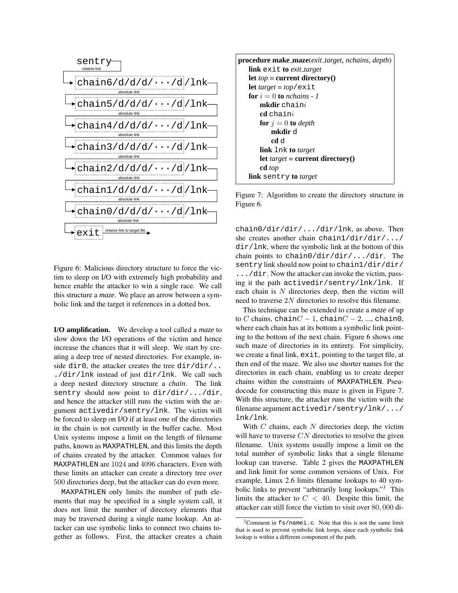

Figure 6: Malicious directory structure to force the victim to sleep on I/O with extremely high probability and hence enable the attacker to win a single race. We call this structure a *maze*. We place an arrow between a symbolic link and the target it references in a dotted box.

**I/O amplification.** We develop a tool called a *maze* to slow down the I/O operations of the victim and hence increase the chances that it will sleep. We start by creating a deep tree of nested directories. For example, inside dir0, the attacker creates the tree  $dir/dir/$ .. ./dir/lnk instead of just dir/lnk. We call such a deep nested directory structure a *chain*. The link sentry should now point to dir/dir/.../dir, and hence the attacker still runs the victim with the argument activedir/sentry/lnk. The victim will be forced to sleep on I/O if at least one of the directories in the chain is not currently in the buffer cache. Most Unix systems impose a limit on the length of filename paths, known as MAXPATHLEN, and this limits the depth of chains created by the attacker. Common values for MAXPATHLEN are 1024 and 4096 characters. Even with these limits an attacker can create a directory tree over 500 directories deep, but the attacker can do even more.

MAXPATHLEN only limits the number of path elements that may be specified in a single system call, it does not limit the number of directory elements that may be traversed during a single name lookup. An attacker can use symbolic links to connect two chains together as follows. First, the attacker creates a chain



Figure 7: Algorithm to create the directory structure in Figure 6.

chain0/dir/dir/.../dir/lnk, as above. Then she creates another chain chain1/dir/dir/.../  $dir/lnk$ , where the symbolic link at the bottom of this chain points to chain0/dir/dir/.../dir. The sentry link should now point to chain1/dir/dir/ .../dir. Now the attacker can invoke the victim, passing it the path activedir/sentry/lnk/lnk. If each chain is  $N$  directories deep, then the victim will need to traverse 2N directories to resolve this filename.

This technique can be extended to create a *maze* of up to C chains, chain $C - 1$ , chain $C - 2$ , ..., chain0, where each chain has at its bottom a symbolic link pointing to the bottom of the next chain. Figure 6 shows one such maze of directories in its entirety. For simplicity, we create a final link,  $exit$ , pointing to the target file, at then end of the maze. We also use shorter names for the directories in each chain, enabling us to create deeper chains within the constraints of MAXPATHLEN. Pseudocode for constructing this maze is given in Figure 7. With this structure, the attacker runs the victim with the filename argument activedir/sentry/lnk/.../ lnk/lnk.

With  $C$  chains, each  $N$  directories deep, the victim will have to traverse  $CN$  directories to resolve the given filename. Unix systems usually impose a limit on the total number of symbolic links that a single filename lookup can traverse. Table 2 gives the MAXPATHLEN and link limit for some common versions of Unix. For example, Linux 2.6 limits filename lookups to 40 symbolic links to prevent "arbitrarily long lookups." <sup>3</sup> This limits the attacker to  $C < 40$ . Despite this limit, the attacker can still force the victim to visit over 80, 000 di-

<sup>3</sup>Comment in fs/namei.c. Note that this is not the same limit that is used to prevent symbolic link loops, since each symbolic link lookup is within a different component of the path.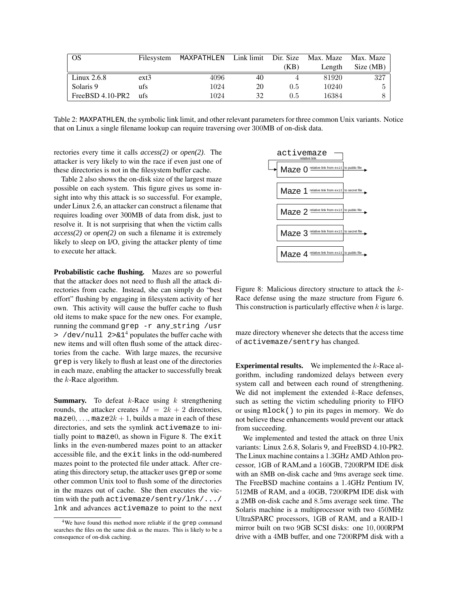| OS                 | Filesystem | MAXPATHLEN |    |      | Link limit Dir. Size Max. Maze Max. Maze |           |
|--------------------|------------|------------|----|------|------------------------------------------|-----------|
|                    |            |            |    | (KB) | Length                                   | Size (MB) |
| Linux $2.6.8$      | $ext{3}$   | 4096       | 40 |      | 81920                                    | 327       |
| Solaris 9          | ufs        | 1024       | 20 | 0.5  | 10240                                    | 5         |
| $FreeBSD 4.10-PR2$ | ufs        | 1024       | 32 | 0.5  | 16384                                    |           |

Table 2: MAXPATHLEN, the symbolic link limit, and other relevant parameters for three common Unix variants. Notice that on Linux a single filename lookup can require traversing over 300MB of on-disk data.

rectories every time it calls *access(2)* or *open(2)*. The attacker is very likely to win the race if even just one of these directories is not in the filesystem buffer cache.

Table 2 also shows the on-disk size of the largest maze possible on each system. This figure gives us some insight into why this attack is so successful. For example, under Linux 2.6, an attacker can construct a filename that requires loading over 300MB of data from disk, just to resolve it. It is not surprising that when the victim calls *access(2)* or *open(2)* on such a filename it is extremely likely to sleep on I/O, giving the attacker plenty of time to execute her attack.

**Probabilistic cache flushing.** Mazes are so powerful that the attacker does not need to flush all the attack directories from cache. Instead, she can simply do "best effort" flushing by engaging in filesystem activity of her own. This activity will cause the buffer cache to flush old items to make space for the new ones. For example, running the command grep -r any string /usr  $>$  /dev/null 2>&1<sup>4</sup> populates the buffer cache with new items and will often flush some of the attack directories from the cache. With large mazes, the recursive grep is very likely to flush at least one of the directories in each maze, enabling the attacker to successfully break the  $k$ -Race algorithm.

**Summary.** To defeat k-Race using k strengthening rounds, the attacker creates  $M = 2k + 2$  directories, maze0, ..., maze $2k + 1$ , builds a maze in each of these directories, and sets the symlink activemaze to initially point to maze0, as shown in Figure 8. The exit links in the even-numbered mazes point to an attacker accessible file, and the exit links in the odd-numbered mazes point to the protected file under attack. After creating this directory setup, the attacker uses grep orsome other common Unix tool to flush some of the directories in the mazes out of cache. She then executes the victim with the path activemaze/sentry/lnk/.../ lnk and advances activemaze to point to the next



Figure 8: Malicious directory structure to attack the k-Race defense using the maze structure from Figure 6. This construction is particularly effective when  $k$  is large.

maze directory whenever she detects that the access time of activemaze/sentry has changed.

**Experimental results.** We implemented the k-Race algorithm, including randomized delays between every system call and between each round of strengthening. We did not implement the extended  $k$ -Race defenses, such as setting the victim scheduling priority to FIFO or using mlock() to pin its pages in memory. We do not believe these enhancements would prevent our attack from succeeding.

We implemented and tested the attack on three Unix variants: Linux 2.6.8, Solaris 9, and FreeBSD 4.10-PR2. The Linux machine contains a 1.3GHz AMD Athlon processor, 1GB of RAM,and a 160GB, 7200RPM IDE disk with an 8MB on-disk cache and 9ms average seek time. The FreeBSD machine contains a 1.4GHz Pentium IV, 512MB of RAM, and a 40GB, 7200RPM IDE disk with a 2MB on-disk cache and 8.5ms average seek time. The Solaris machine is a multiprocessor with two 450MHz UltraSPARC processors, 1GB of RAM, and a RAID-1 mirror built on two 9GB SCSI disks: one 10, 000RPM drive with a 4MB buffer, and one 7200RPM disk with a

<sup>&</sup>lt;sup>4</sup>We have found this method more reliable if the grep command searches the files on the same disk as the mazes. This is likely to be a consequence of on-disk caching.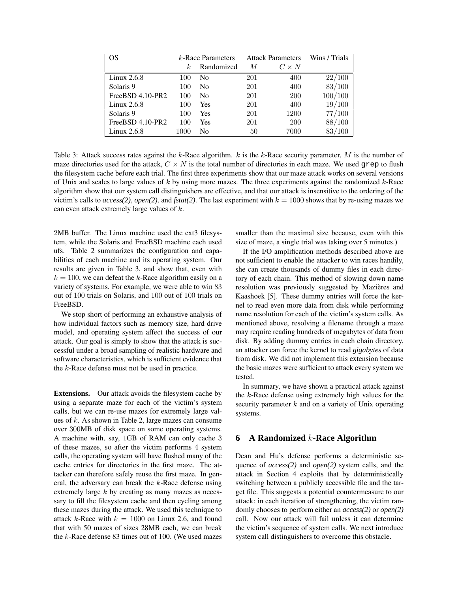| OS                              | $k$ -Race Parameters |                | <b>Attack Parameters</b> |              | Wins / Trials |
|---------------------------------|----------------------|----------------|--------------------------|--------------|---------------|
|                                 | k.                   | Randomized     | M                        | $C \times N$ |               |
| $\overline{\text{Linux}}$ 2.6.8 | 100                  | N <sub>0</sub> | 201                      | 400          | 22/100        |
| Solaris 9                       | 100                  | N <sub>0</sub> | 201                      | 400          | 83/100        |
| FreeBSD 4.10-PR2                | 100                  | N <sub>0</sub> | 201                      | <b>200</b>   | 100/100       |
| Linux $2.6.8$                   | 100                  | Yes            | 201                      | 400          | 19/100        |
| Solaris 9                       | 100                  | Yes            | 201                      | 1200         | 77/100        |
| FreeBSD 4.10-PR2                | 100                  | Yes            | 201                      | <b>200</b>   | 88/100        |
| Linux $2.6.8$                   | 1000                 | N <sub>0</sub> | 50                       | 7000         | 83/100        |

Table 3: Attack success rates against the k-Race algorithm.  $k$  is the k-Race security parameter, M is the number of maze directories used for the attack,  $C \times N$  is the total number of directories in each maze. We used grep to flush the filesystem cache before each trial. The first three experiments show that our maze attack works on several versions of Unix and scales to large values of  $k$  by using more mazes. The three experiments against the randomized  $k$ -Race algorithm show that our system call distinguishers are effective, and that our attack is insensitive to the ordering of the victim's calls to *access(2)*, *open(2)*, and *fstat(2)*. The last experiment with  $k = 1000$  shows that by re-using mazes we can even attack extremely large values of k.

2MB buffer. The Linux machine used the ext3 filesystem, while the Solaris and FreeBSD machine each used ufs. Table 2 summarizes the configuration and capabilities of each machine and its operating system. Our results are given in Table 3, and show that, even with  $k = 100$ , we can defeat the k-Race algorithm easily on a variety of systems. For example, we were able to win 83 out of 100 trials on Solaris, and 100 out of 100 trials on FreeBSD.

We stop short of performing an exhaustive analysis of how individual factors such as memory size, hard drive model, and operating system affect the success of our attack. Our goal is simply to show that the attack is successful under a broad sampling of realistic hardware and software characteristics, which is sufficient evidence that the  $k$ -Race defense must not be used in practice.

**Extensions.** Our attack avoids the filesystem cache by using a separate maze for each of the victim's system calls, but we can re-use mazes for extremely large values of k. As shown in Table 2, large mazes can consume over 300MB of disk space on some operating systems. A machine with, say, 1GB of RAM can only cache 3 of these mazes, so after the victim performs 4 system calls, the operating system will have flushed many of the cache entries for directories in the first maze. The attacker can therefore safely reuse the first maze. In general, the adversary can break the  $k$ -Race defense using extremely large k by creating as many mazes as necessary to fill the filesystem cache and then cycling among these mazes during the attack. We used this technique to attack k-Race with  $k = 1000$  on Linux 2.6, and found that with 50 mazes of sizes 28MB each, we can break the k-Race defense 83 times out of 100. (We used mazes smaller than the maximal size because, even with this size of maze, a single trial was taking over 5 minutes.)

If the I/O amplification methods described above are not sufficient to enable the attacker to win races handily, she can create thousands of dummy files in each directory of each chain. This method of slowing down name resolution was previously suggested by Mazières and Kaashoek [5]. These dummy entries will force the kernel to read even more data from disk while performing name resolution for each of the victim's system calls. As mentioned above, resolving a filename through a maze may require reading hundreds of megabytes of data from disk. By adding dummy entries in each chain directory, an attacker can force the kernel to read *gigabytes* of data from disk. We did not implement this extension because the basic mazes were sufficient to attack every system we tested.

In summary, we have shown a practical attack against the k-Race defense using extremely high values for the security parameter  $k$  and on a variety of Unix operating systems.

### **6 A Randomized** k**-Race Algorithm**

Dean and Hu's defense performs a deterministic sequence of *access(2)* and *open(2)* system calls, and the attack in Section 4 exploits that by deterministically switching between a publicly accessible file and the target file. This suggests a potential countermeasure to our attack: in each iteration of strengthening, the victim randomly chooses to perform either an *access(2)* or *open(2)* call. Now our attack will fail unless it can determine the victim's sequence of system calls. We next introduce system call distinguishers to overcome this obstacle.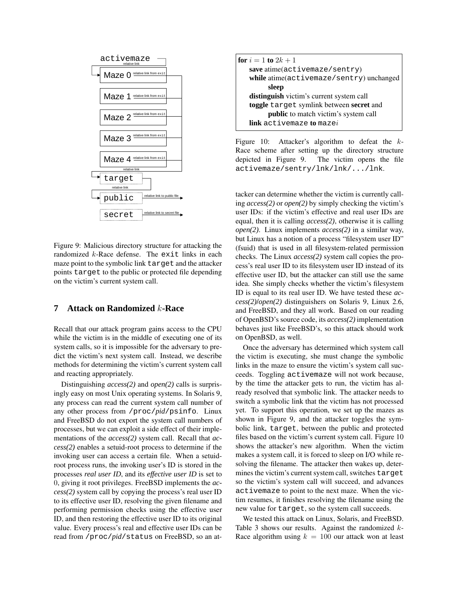

Figure 9: Malicious directory structure for attacking the randomized  $k$ -Race defense. The exit links in each maze point to the symbolic link target and the attacker points target to the public or protected file depending on the victim's current system call.

# **7 Attack on Randomized** k**-Race**

Recall that our attack program gains access to the CPU while the victim is in the middle of executing one of its system calls, so it is impossible for the adversary to predict the victim's next system call. Instead, we describe methods for determining the victim's current system call and reacting appropriately.

Distinguishing *access(2)* and *open(2)* calls is surprisingly easy on most Unix operating systems. In Solaris 9, any process can read the current system call number of any other process from /proc/*pid*/psinfo. Linux and FreeBSD do not export the system call numbers of processes, but we can exploit a side effect of their implementations of the *access(2)* system call. Recall that *access(2)* enables a setuid-root process to determine if the invoking user can access a certain file. When a setuidroot process runs, the invoking user's ID is stored in the processes *real user ID*, and its *effective user ID* is set to 0, giving it root privileges. FreeBSD implements the *access(2)* system call by copying the process's real user ID to its effective user ID, resolving the given filename and performing permission checks using the effective user ID, and then restoring the effective user ID to its original value. Every process's real and effective user IDs can be read from /proc/*pid*/status on FreeBSD, so an at-

|                                          | <b>for</b> $i = 1$ to $2k + 1$                         |  |  |  |  |  |
|------------------------------------------|--------------------------------------------------------|--|--|--|--|--|
|                                          | save atime(activemaze/sentry)                          |  |  |  |  |  |
| while atime(activemaze/sentry) unchanged |                                                        |  |  |  |  |  |
|                                          | sleep                                                  |  |  |  |  |  |
|                                          | distinguish victim's current system call               |  |  |  |  |  |
|                                          | toggle target symlink between secret and               |  |  |  |  |  |
|                                          | public to match victim's system call                   |  |  |  |  |  |
|                                          | $\mathop{\text{link}}\nolimits$ activemaze to maze $i$ |  |  |  |  |  |
|                                          |                                                        |  |  |  |  |  |

Figure 10: Attacker's algorithm to defeat the k-Race scheme after setting up the directory structure depicted in Figure 9. The victim opens the file activemaze/sentry/lnk/lnk/.../lnk.

tacker can determine whether the victim is currently calling *access(2)* or *open(2)* by simply checking the victim's user IDs: if the victim's effective and real user IDs are equal, then it is calling *access(2)*, otherwise it is calling *open(2)*. Linux implements *access(2)* in a similar way, but Linux has a notion of a process "filesystem user ID" (fsuid) that is used in all filesystem-related permission checks. The Linux *access(2)* system call copies the process's real user ID to its filesystem user ID instead of its effective user ID, but the attacker can still use the same idea. She simply checks whether the victim's filesystem ID is equal to its real user ID. We have tested these *access(2)*/*open(2)* distinguishers on Solaris 9, Linux 2.6, and FreeBSD, and they all work. Based on our reading of OpenBSD's source code, its *access(2)* implementation behaves just like FreeBSD's, so this attack should work on OpenBSD, as well.

Once the adversary has determined which system call the victim is executing, she must change the symbolic links in the maze to ensure the victim's system call succeeds. Toggling activemaze will not work because, by the time the attacker gets to run, the victim has already resolved that symbolic link. The attacker needs to switch a symbolic link that the victim has not processed yet. To support this operation, we set up the mazes as shown in Figure 9, and the attacker toggles the symbolic link, target, between the public and protected files based on the victim's current system call. Figure 10 shows the attacker's new algorithm. When the victim makes a system call, it is forced to sleep on I/O while resolving the filename. The attacker then wakes up, determines the victim's current system call, switches target so the victim's system call will succeed, and advances activemaze to point to the next maze. When the victim resumes, it finishes resolving the filename using the new value for target, so the system call succeeds.

We tested this attack on Linux, Solaris, and FreeBSD. Table 3 shows our results. Against the randomized  $k$ -Race algorithm using  $k = 100$  our attack won at least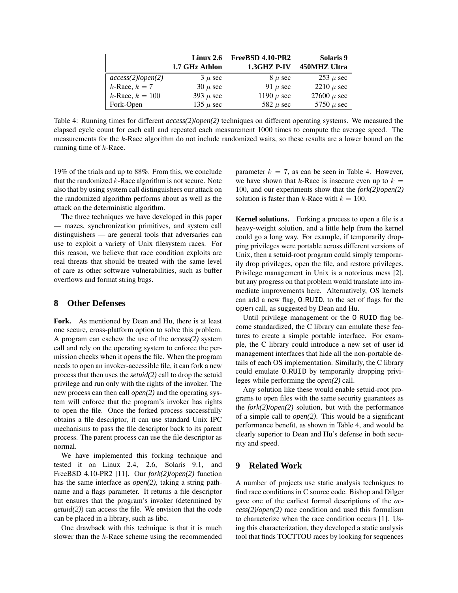|                         | Linux 2.6            | FreeBSD 4.10-PR2 | Solaris 9       |
|-------------------------|----------------------|------------------|-----------------|
|                         | 1.7 GHz Athlon       | 1.3GHZ P-IV      | 450MHZ Ultra    |
| $access(2)$ /open $(2)$ | $3 \mu$ sec          | $8 \mu$ sec      | $253 \mu$ sec   |
| $k$ -Race, $k = 7$      | $30 \mu \text{ sec}$ | 91 $\mu$ sec     | 2210 $\mu$ sec  |
| $k$ -Race, $k = 100$    | 393 $\mu$ sec        | 1190 $\mu$ sec   | 27600 $\mu$ sec |
| Fork-Open               | 135 $\mu$ sec        | 582 $\mu$ sec    | 5750 $\mu$ sec  |

Table 4: Running times for different *access(2)*/*open(2)* techniques on different operating systems. We measured the elapsed cycle count for each call and repeated each measurement 1000 times to compute the average speed. The measurements for the k-Race algorithm do not include randomized waits, so these results are a lower bound on the running time of  $k$ -Race.

19% of the trials and up to 88%. From this, we conclude that the randomized  $k$ -Race algorithm is not secure. Note also that by using system call distinguishers our attack on the randomized algorithm performs about as well as the attack on the deterministic algorithm.

The three techniques we have developed in this paper — mazes, synchronization primitives, and system call distinguishers — are general tools that adversaries can use to exploit a variety of Unix filesystem races. For this reason, we believe that race condition exploits are real threats that should be treated with the same level of care as other software vulnerabilities, such as buffer overflows and format string bugs.

### **8 Other Defenses**

**Fork.** As mentioned by Dean and Hu, there is at least one secure, cross-platform option to solve this problem. A program can eschew the use of the *access(2)* system call and rely on the operating system to enforce the permission checks when it opens the file. When the program needs to open an invoker-accessible file, it can fork a new process that then uses the *setuid(2)* call to drop the setuid privilege and run only with the rights of the invoker. The new process can then call *open(2)* and the operating system will enforce that the program's invoker has rights to open the file. Once the forked process successfully obtains a file descriptor, it can use standard Unix IPC mechanisms to pass the file descriptor back to its parent process. The parent process can use the file descriptor as normal.

We have implemented this forking technique and tested it on Linux 2.4, 2.6, Solaris 9.1, and FreeBSD 4.10-PR2 [11]. Our *fork(2)*/*open(2)* function has the same interface as *open(2)*, taking a string pathname and a flags parameter. It returns a file descriptor but ensures that the program's invoker (determined by *getuid(2)*) can access the file. We envision that the code can be placed in a library, such as libc.

One drawback with this technique is that it is much slower than the  $k$ -Race scheme using the recommended parameter  $k = 7$ , as can be seen in Table 4. However, we have shown that k-Race is insecure even up to  $k =$ 100, and our experiments show that the *fork(2)*/*open(2)* solution is faster than k-Race with  $k = 100$ .

**Kernel solutions.** Forking a process to open a file is a heavy-weight solution, and a little help from the kernel could go a long way. For example, if temporarily dropping privileges were portable across different versions of Unix, then a setuid-root program could simply temporarily drop privileges, open the file, and restore privileges. Privilege management in Unix is a notorious mess [2], but any progress on that problem would translate into immediate improvements here. Alternatively, OS kernels can add a new flag, O RUID, to the set of flags for the open call, as suggested by Dean and Hu.

Until privilege management or the O RUID flag become standardized, the C library can emulate these features to create a simple portable interface. For example, the C library could introduce a new set of user id management interfaces that hide all the non-portable details of each OS implementation. Similarly, the C library could emulate O RUID by temporarily dropping privileges while performing the *open(2)* call.

Any solution like these would enable setuid-root programs to open files with the same security guarantees as the *fork(2)*/*open(2)* solution, but with the performance of a simple call to *open(2)*. This would be a significant performance benefit, as shown in Table 4, and would be clearly superior to Dean and Hu's defense in both security and speed.

# **9 Related Work**

A number of projects use static analysis techniques to find race conditions in C source code. Bishop and Dilger gave one of the earliest formal descriptions of the *access(2)*/*open(2)* race condition and used this formalism to characterize when the race condition occurs [1]. Using this characterization, they developed a static analysis tool that finds TOCTTOU races by looking for sequences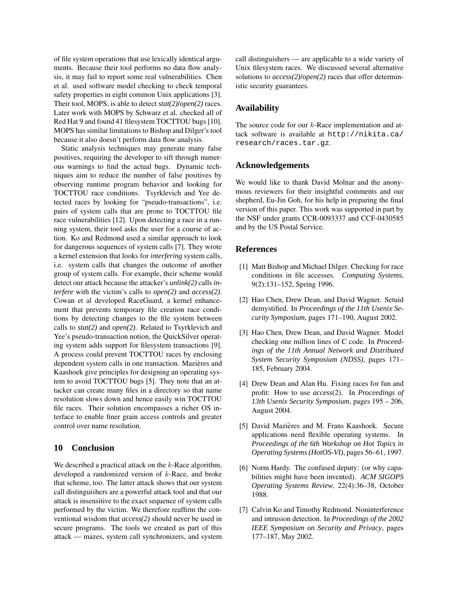of file system operations that use lexically identical arguments. Because their tool performs no data flow analysis, it may fail to report some real vulnerabilities. Chen et al. used software model checking to check temporal safety properties in eight common Unix applications [3]. Their tool, MOPS, is able to detect *stat(2)*/*open(2)* races. Later work with MOPS by Schwarz et al. checked all of Red Hat 9 and found 41 filesystem TOCTTOU bugs [10]. MOPS has similar limitations to Bishop and Dilger's tool because it also doesn't perform data flow analysis.

Static analysis techniques may generate many false positives, requiring the developer to sift through numerous warnings to find the actual bugs. Dynamic techniques aim to reduce the number of false positives by observing runtime program behavior and looking for TOCTTOU race conditions. Tsyrklevich and Yee detected races by looking for "pseudo-transactions", i.e. pairs of system calls that are prone to TOCTTOU file race vulnerabilities [12]. Upon detecting a race in a running system, their tool asks the user for a course of action. Ko and Redmond used a similar approach to look for dangerous sequences of system calls [7]. They wrote a kernel extension that looks for *interfering* system calls, i.e. system calls that changes the outcome of another group of system calls. For example, their scheme would detect our attack because the attacker's *unlink(2)* calls *interfere* with the victim's calls to *open(2)* and *access(2)*. Cowan et al developed RaceGuard, a kernel enhancement that prevents temporary file creation race conditions by detecting changes to the file system between calls to *stat(2)* and *open(2)*. Related to Tsyrklevich and Yee's pseudo-transaction notion, the QuickSilver operating system adds support for filesystem transactions [9]. A process could prevent TOCTTOU races by enclosing dependent system calls in one transaction. Mazières and Kaashoek give principles for designing an operating system to avoid TOCTTOU bugs [5]. They note that an attacker can create many files in a directory so that name resolution slows down and hence easily win TOCTTOU file races. Their solution encompasses a richer OS interface to enable finer grain access controls and greater control over name resolution.

### **10 Conclusion**

We described a practical attack on the  $k$ -Race algorithm, developed a randomized version of k-Race, and broke that scheme, too. The latter attack shows that our system call distinguishers are a powerful attack tool and that our attack is insensitive to the exact sequence of system calls performed by the victim. We therefore reaffirm the conventional wisdom that *access(2)* should never be used in secure programs. The tools we created as part of this attack — mazes, system call synchronizers, and system call distinguishers — are applicable to a wide variety of Unix filesystem races. We discussed several alternative solutions to *access(2)*/*open(2)* races that offer deterministic security guarantees.

### **Availability**

The source code for our k-Race implementation and attack software is available at http://nikita.ca/ research/races.tar.gz.

### **Acknowledgements**

We would like to thank David Molnar and the anonymous reviewers for their insightful comments and our shepherd, Eu-Jin Goh, for his help in preparing the final version of this paper. This work was supported in part by the NSF under grants CCR-0093337 and CCF-0430585 and by the US Postal Service.

### **References**

- [1] Matt Bishop and Michael Dilger. Checking for race conditions in file accesses. *Computing Systems*, 9(2):131–152, Spring 1996.
- [2] Hao Chen, Drew Dean, and David Wagner. Setuid demystified. In *Proceedings of the 11th Usenix Security Symposium*, pages 171–190, August 2002.
- [3] Hao Chen, Drew Dean, and David Wagner. Model checking one million lines of C code. In *Proceedings of the 11th Annual Network and Distributed System Security Symposium (NDSS)*, pages 171– 185, February 2004.
- [4] Drew Dean and Alan Hu. Fixing races for fun and profit: How to use *access*(2). In *Proceedings of 13th Usenix Security Symposium*, pages 195 – 206, August 2004.
- [5] David Mazières and M. Frans Kaashoek. Secure applications need flexible operating systems. In *Proceedings of the 6th Workshop on Hot Topics in Operating Systems(HotOS-VI)*, pages 56–61, 1997.
- [6] Norm Hardy. The confused deputy: (or why capabilities might have been invented). *ACM SIGOPS Operating Systems Review*, 22(4):36–38, October 1988.
- [7] Calvin Ko and Timothy Redmond. Noninterference and intrusion detection. In *Proceedings of the 2002 IEEE Symposium on Security and Privacy*, pages 177–187, May 2002.